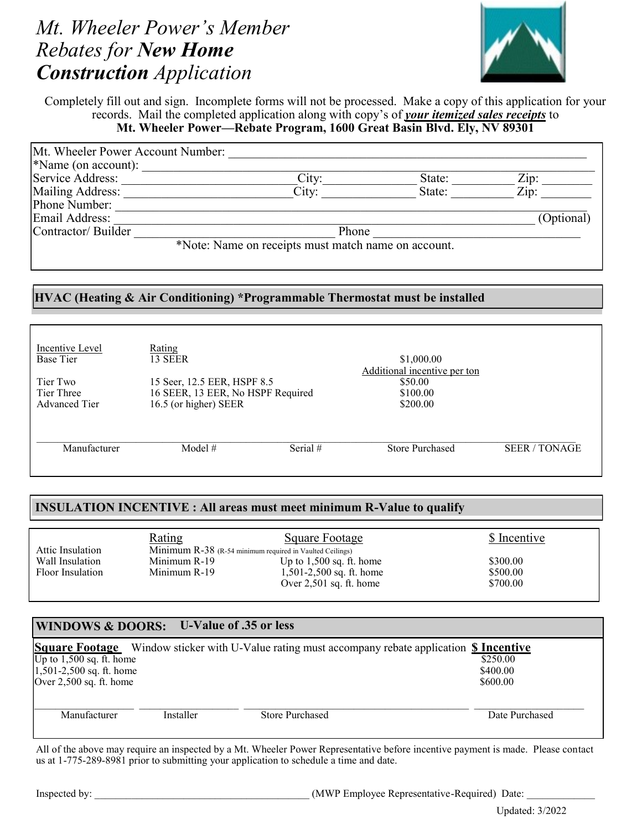# *Mt. Wheeler Power's Member Rebates for New Home Construction Application*



Completely fill out and sign. Incomplete forms will not be processed. Make a copy of this application for your records. Mail the completed application along with copy's of *your itemized sales receipts* to **Mt. Wheeler Power—Rebate Program, 1600 Great Basin Blvd. Ely, NV 89301**

| Mt. Wheeler Power Account Number: |                                                     |        |            |
|-----------------------------------|-----------------------------------------------------|--------|------------|
| $*$ Name (on account):            |                                                     |        |            |
| Service Address:                  | City:                                               | State: | Zip:       |
| Mailing Address:                  | City:                                               | State: | Zip:       |
| Phone Number:                     |                                                     |        |            |
| Email Address:                    |                                                     |        | (Optional) |
| Contractor/Builder                | Phone                                               |        |            |
|                                   | *Note: Name on receipts must match name on account. |        |            |

## **HVAC (Heating & Air Conditioning) \*Programmable Thermostat must be installed**

| Incentive Level<br>Base Tier                   | Rating<br>13 SEER                                                                         |          | \$1,000.00                                                      |                    |
|------------------------------------------------|-------------------------------------------------------------------------------------------|----------|-----------------------------------------------------------------|--------------------|
| Tier Two<br>Tier Three<br><b>Advanced Tier</b> | 15 Seer, 12.5 EER, HSPF 8.5<br>16 SEER, 13 EER, No HSPF Required<br>16.5 (or higher) SEER |          | Additional incentive per ton<br>\$50.00<br>\$100.00<br>\$200.00 |                    |
| Manufacturer                                   | Model $#$                                                                                 | Serial # | <b>Store Purchased</b>                                          | <b>SEER/TONAGE</b> |

### **INSULATION INCENTIVE : All areas must meet minimum R-Value to qualify**

|                  | <u>Rating</u>                                            | Square Footage             | \$ Incentive |
|------------------|----------------------------------------------------------|----------------------------|--------------|
| Attic Insulation | Minimum R-38 (R-54 minimum required in Vaulted Ceilings) |                            |              |
| Wall Insulation  | Minimum R-19                                             | Up to $1,500$ sq. ft. home | \$300.00     |
| Floor Insulation | Minimum R-19                                             | 1,501-2,500 sq. ft. home   | \$500.00     |
|                  |                                                          | Over $2,501$ sq. ft. home  | \$700.00     |

# **WINDOWS & DOORS: U-Value of .35 or less**

|                            |           | <b>Square Footage</b> Window sticker with U-Value rating must accompany rebate application \$ Incentive |                |
|----------------------------|-----------|---------------------------------------------------------------------------------------------------------|----------------|
| Up to $1,500$ sq. ft. home |           |                                                                                                         | \$250.00       |
| $1,501-2,500$ sq. ft. home |           |                                                                                                         | \$400.00       |
| Over $2,500$ sq. ft. home  |           |                                                                                                         | \$600.00       |
|                            |           |                                                                                                         |                |
| Manufacturer               | Installer | <b>Store Purchased</b>                                                                                  | Date Purchased |
|                            |           |                                                                                                         |                |

All of the above may require an inspected by a Mt. Wheeler Power Representative before incentive payment is made. Please contact us at 1-775-289-8981 prior to submitting your application to schedule a time and date.